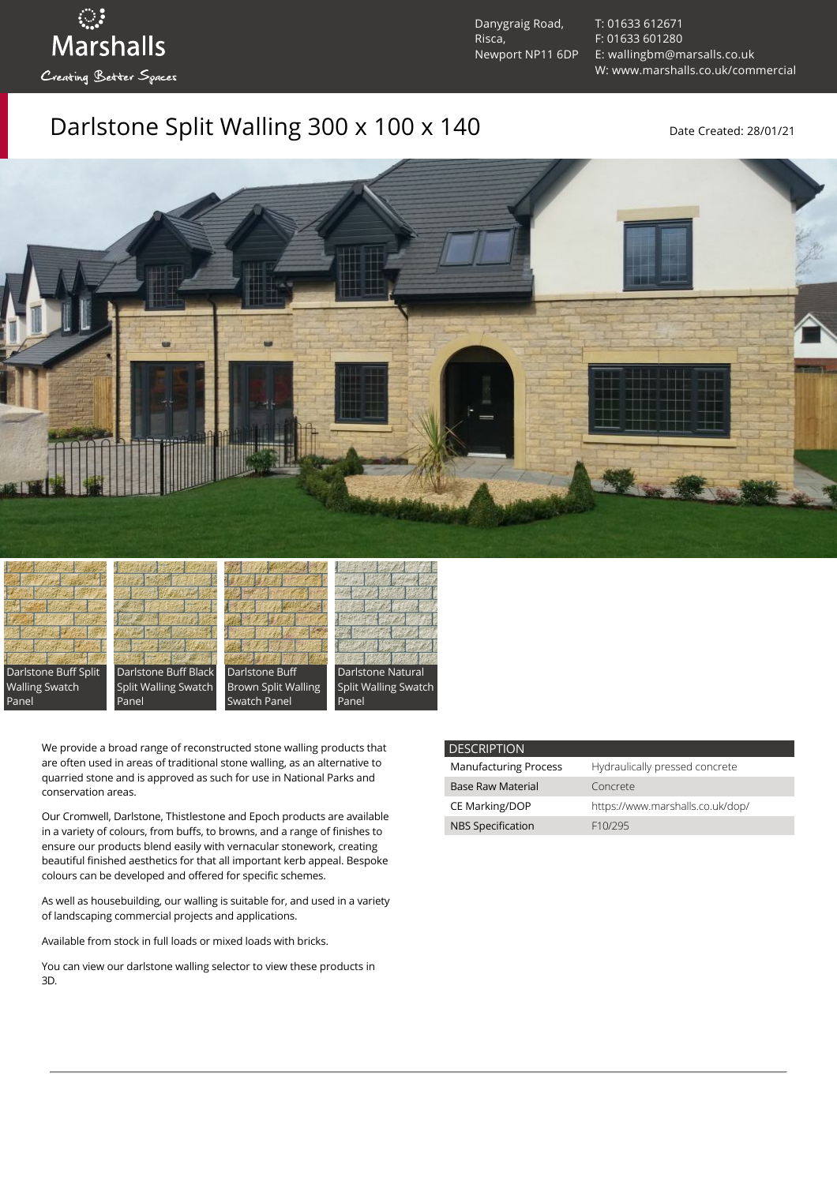Danygraig Road, Risca, Newport NP11 6DP [T: 01633 612671](tel:01633%20612671) [F: 01633 601280](tel:01633%20601280) [E: wallingbm@marsalls.co.uk](mailto:wallingbm@marsalls.co.uk) [W: www.marshalls.co.uk/commercial](https://www.marshalls.co.uk/commercial)

## Darlstone Split Walling 300 x 100 x 140 Date Created: 28/01/21





ः<br>Marshalls

Creating Better Spaces







We provide a broad range of reconstructed stone walling products that are often used in areas of traditional stone walling, as an alternative to quarried stone and is approved as such for use in National Parks and conservation areas.

Our [Cromwell](https://www.marshalls.co.uk/commercial/product/cromwell-stone-walling), Darlstone, [Thistlestone](https://www.marshalls.co.uk/commercial/product/thistlestone-stone-walling) and Epoch products are available in a variety of colours, from buffs, to browns, and a range of finishes to ensure our products blend easily with vernacular stonework, creating beautiful finished aesthetics for that all important kerb appeal. Bespoke colours can be developed and offered for specific schemes.

As well as housebuilding, our walling is suitable for, and used in a variety of landscaping commercial projects and applications.

Available from stock in full loads or mixed loads with bricks.

You can view our [darlstone walling selector](https://www.paverpicker.com/paverpicker/?u=edenhall&cat=walling&subcat=darlstone_walling) to view these products in 3D.

| <b>DESCRIPTION</b>           |                                  |
|------------------------------|----------------------------------|
| <b>Manufacturing Process</b> | Hydraulically pressed concrete   |
| <b>Base Raw Material</b>     | Concrete                         |
| <b>CE Marking/DOP</b>        | https://www.marshalls.co.uk/dop/ |
| <b>NBS Specification</b>     | F10/295                          |